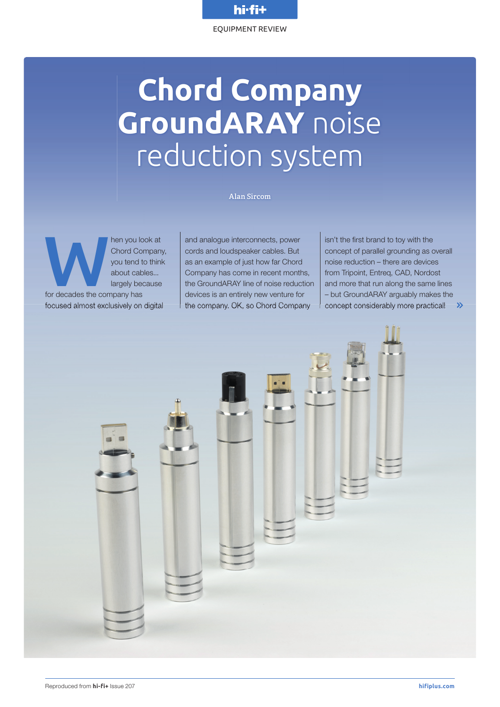## hi-fi+

EQUIPMENT REVIEW

# **Chord Company GroundARAY** noise reduction system

**Alan Sircom**

hen you look at<br>Chord Company<br>you tend to think<br>about cables...<br>Iargely because<br>for decades the company has Chord Company, you tend to think about cables... largely because for decades the company has focused almost exclusively on digital

and analogue interconnects, power cords and loudspeaker cables. But as an example of just how far Chord Company has come in recent months, the GroundARAY line of noise reduction devices is an entirely new venture for the company. OK, so Chord Company

isn't the first brand to toy with the concept of parallel grounding as overall noise reduction – there are devices from Tripoint, Entreq, CAD, Nordost and more that run along the same lines – but GroundARAY arguably makes the concept considerably more practical!  $\rightarrow$ 

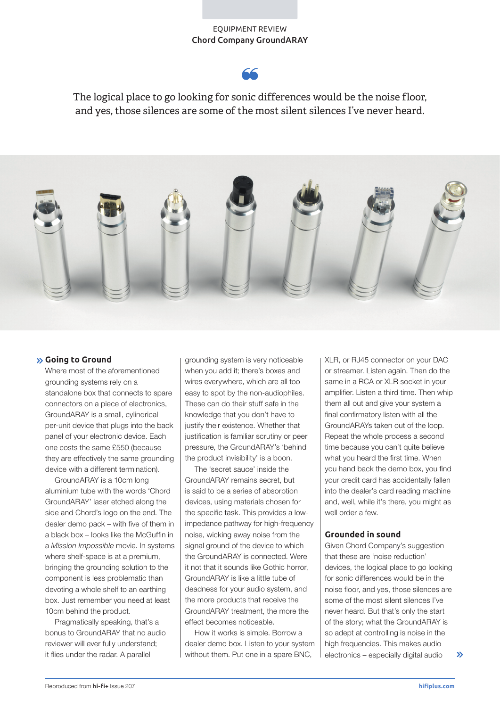## EQUIPMENT REVIEW Chord Company GroundARAY



The logical place to go looking for sonic differences would be the noise floor, and yes, those silences are some of the most silent silences I've never heard.



## **Going to Ground**

Where most of the aforementioned grounding systems rely on a standalone box that connects to spare connectors on a piece of electronics, GroundARAY is a small, cylindrical per-unit device that plugs into the back panel of your electronic device. Each one costs the same £550 (because they are effectively the same grounding device with a different termination).

GroundARAY is a 10cm long aluminium tube with the words 'Chord GroundARAY' laser etched along the side and Chord's logo on the end. The dealer demo pack – with five of them in a black box – looks like the McGuffin in a *Mission Impossible* movie. In systems where shelf-space is at a premium, bringing the grounding solution to the component is less problematic than devoting a whole shelf to an earthing box. Just remember you need at least 10cm behind the product.

Pragmatically speaking, that's a bonus to GroundARAY that no audio reviewer will ever fully understand; it flies under the radar. A parallel

grounding system is very noticeable when you add it; there's boxes and wires everywhere, which are all too easy to spot by the non-audiophiles. These can do their stuff safe in the knowledge that you don't have to justify their existence. Whether that justification is familiar scrutiny or peer pressure, the GroundARAY's 'behind the product invisibility' is a boon.

The 'secret sauce' inside the GroundARAY remains secret, but is said to be a series of absorption devices, using materials chosen for the specific task. This provides a lowimpedance pathway for high-frequency noise, wicking away noise from the signal ground of the device to which the GroundARAY is connected. Were it not that it sounds like Gothic horror, GroundARAY is like a little tube of deadness for your audio system, and the more products that receive the GroundARAY treatment, the more the effect becomes noticeable.

How it works is simple. Borrow a dealer demo box. Listen to your system without them. Put one in a spare BNC,

XLR, or RJ45 connector on your DAC or streamer. Listen again. Then do the same in a RCA or XLR socket in your amplifier. Listen a third time. Then whip them all out and give your system a final confirmatory listen with all the GroundARAYs taken out of the loop. Repeat the whole process a second time because you can't quite believe what you heard the first time. When you hand back the demo box, you find your credit card has accidentally fallen into the dealer's card reading machine and, well, while it's there, you might as well order a few.

## **Grounded in sound**

Given Chord Company's suggestion that these are 'noise reduction' devices, the logical place to go looking for sonic differences would be in the noise floor, and yes, those silences are some of the most silent silences I've never heard. But that's only the start of the story; what the GroundARAY is so adept at controlling is noise in the high frequencies. This makes audio electronics – especially digital audio

 $\mathbf{\Sigma}$